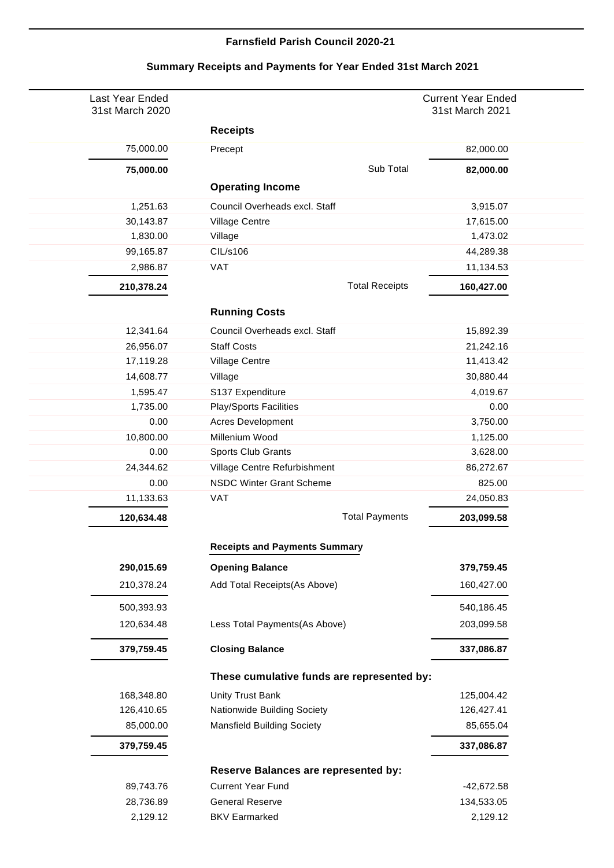## **Farnsfield Parish Council 2020-21**

| Last Year Ended<br>31st March 2020 |                                            | <b>Current Year Ended</b><br>31st March 2021 |
|------------------------------------|--------------------------------------------|----------------------------------------------|
|                                    | <b>Receipts</b>                            |                                              |
| 75,000.00                          | Precept                                    | 82,000.00                                    |
| 75,000.00                          | Sub Total                                  | 82,000.00                                    |
|                                    | <b>Operating Income</b>                    |                                              |
| 1,251.63                           | Council Overheads excl. Staff              | 3,915.07                                     |
| 30,143.87                          | Village Centre                             | 17,615.00                                    |
| 1,830.00                           | Village                                    | 1,473.02                                     |
| 99,165.87                          | CIL/s106                                   | 44,289.38                                    |
| 2,986.87                           | <b>VAT</b>                                 | 11,134.53                                    |
| 210,378.24                         | <b>Total Receipts</b>                      | 160,427.00                                   |
|                                    | <b>Running Costs</b>                       |                                              |
| 12,341.64                          | Council Overheads excl. Staff              | 15,892.39                                    |
| 26,956.07                          | <b>Staff Costs</b>                         | 21,242.16                                    |
| 17,119.28                          | Village Centre                             | 11,413.42                                    |
| 14,608.77                          | Village                                    | 30,880.44                                    |
| 1,595.47                           | S137 Expenditure                           | 4,019.67                                     |
| 1,735.00                           | <b>Play/Sports Facilities</b>              | 0.00                                         |
| 0.00                               | <b>Acres Development</b>                   | 3,750.00                                     |
| 10,800.00                          | Millenium Wood                             | 1,125.00                                     |
| 0.00                               | Sports Club Grants                         | 3,628.00                                     |
| 24,344.62                          | Village Centre Refurbishment               | 86,272.67                                    |
| 0.00                               | <b>NSDC Winter Grant Scheme</b>            | 825.00                                       |
| 11,133.63                          | <b>VAT</b>                                 | 24,050.83                                    |
| 120,634.48                         | <b>Total Payments</b>                      | 203,099.58                                   |
|                                    | <b>Receipts and Payments Summary</b>       |                                              |
| 290,015.69                         | <b>Opening Balance</b>                     | 379,759.45                                   |
| 210,378.24                         | Add Total Receipts(As Above)               | 160,427.00                                   |
| 500,393.93                         |                                            | 540,186.45                                   |
| 120,634.48                         | Less Total Payments(As Above)              | 203,099.58                                   |
| 379,759.45                         | <b>Closing Balance</b>                     | 337,086.87                                   |
|                                    | These cumulative funds are represented by: |                                              |
| 168,348.80                         | <b>Unity Trust Bank</b>                    | 125,004.42                                   |
| 126,410.65                         | Nationwide Building Society                | 126,427.41                                   |
| 85,000.00                          | <b>Mansfield Building Society</b>          | 85,655.04                                    |
| 379,759.45                         |                                            | 337,086.87                                   |
|                                    | Reserve Balances are represented by:       |                                              |
| 89,743.76                          | <b>Current Year Fund</b>                   | -42,672.58                                   |
| 28,736.89                          | <b>General Reserve</b>                     | 134,533.05                                   |
| 2,129.12                           | <b>BKV Earmarked</b>                       | 2,129.12                                     |
|                                    |                                            |                                              |

## **Summary Receipts and Payments for Year Ended 31st March 2021**